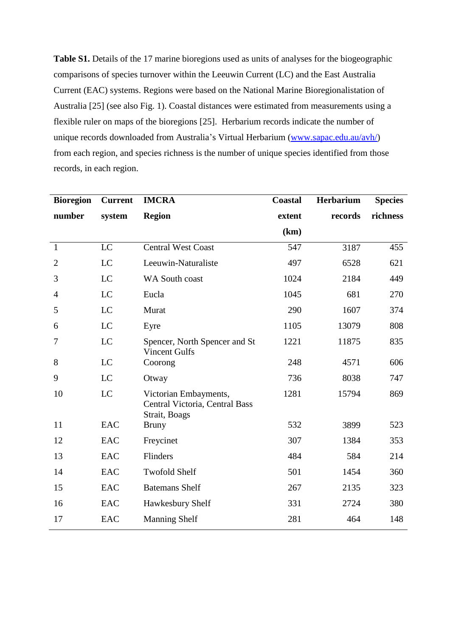**Table S1.** Details of the 17 marine bioregions used as units of analyses for the biogeographic comparisons of species turnover within the Leeuwin Current (LC) and the East Australia Current (EAC) systems. Regions were based on the National Marine Bioregionalistation of Australia [25] (see also Fig. 1). Coastal distances were estimated from measurements using a flexible ruler on maps of the bioregions [25]. Herbarium records indicate the number of unique records downloaded from Australia's Virtual Herbarium [\(www.sapac.edu.au/avh/\)](http://www.sapac.edu.au/avh/) from each region, and species richness is the number of unique species identified from those records, in each region.

| <b>Bioregion</b> | <b>Current</b> | <b>IMCRA</b>                                                             | <b>Coastal</b> | <b>Herbarium</b> | <b>Species</b> |  |
|------------------|----------------|--------------------------------------------------------------------------|----------------|------------------|----------------|--|
| number           | system         | <b>Region</b>                                                            | extent         | records          | richness       |  |
|                  |                |                                                                          | (km)           |                  |                |  |
| $\mathbf{1}$     | LC             | <b>Central West Coast</b>                                                | 547            | 3187             | 455            |  |
| $\overline{2}$   | LC             | Leeuwin-Naturaliste                                                      | 497            | 6528             | 621            |  |
| 3                | LC             | WA South coast                                                           | 1024           | 2184             | 449            |  |
| 4                | LC             | Eucla                                                                    | 1045           | 681              | 270            |  |
| 5                | LC             | Murat                                                                    | 290            | 1607             | 374            |  |
| 6                | LC             | Eyre                                                                     | 1105           | 13079            | 808            |  |
| 7                | LC             | Spencer, North Spencer and St<br><b>Vincent Gulfs</b>                    | 1221           | 11875            | 835            |  |
| 8                | LC             | Coorong                                                                  | 248            | 4571             | 606            |  |
| 9                | LC             | Otway                                                                    | 736            | 8038             | 747            |  |
| 10               | LC             | Victorian Embayments,<br>Central Victoria, Central Bass<br>Strait, Boags | 1281           | 15794            | 869            |  |
| 11               | <b>EAC</b>     | <b>Bruny</b>                                                             | 532            | 3899             | 523            |  |
| 12               | <b>EAC</b>     | Freycinet                                                                | 307            | 1384             | 353            |  |
| 13               | <b>EAC</b>     | Flinders                                                                 | 484            | 584              | 214            |  |
| 14               | <b>EAC</b>     | <b>Twofold Shelf</b>                                                     | 501            | 1454             | 360            |  |
| 15               | <b>EAC</b>     | <b>Batemans Shelf</b>                                                    | 267            | 2135             | 323            |  |
| 16               | <b>EAC</b>     | Hawkesbury Shelf                                                         | 331            | 2724             | 380            |  |
| 17               | <b>EAC</b>     | <b>Manning Shelf</b>                                                     | 281            | 464              | 148            |  |